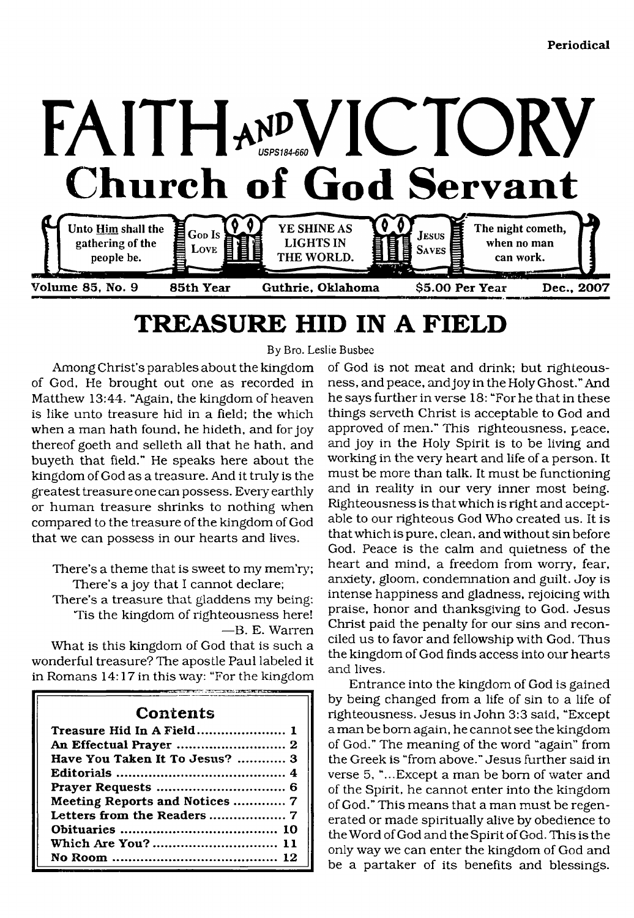

# <span id="page-0-0"></span>**TREASURE HID IN A FIELD**

By Bro. Leslie Busbee

Among Christ's parables about the kingdom of God, He brought out one as recorded in Matthew 13:44. "Again, the kingdom of heaven is like unto treasure hid in a field; the which when a man hath found, he hideth, and for joy thereof goeth and selleth all that he hath, and buyeth that field." He speaks here about the kingdom of God as a treasure. And it truly is the greatest treasure one can possess. Every earthly or human treasure shrinks to nothing when compared to the treasure of the kingdom of God that we can possess in our hearts and lives.

There's a theme that is sweet to my mem'ry; There's a joy that I cannot declare;

There's a treasure that gladdens my being: Tis the kingdom of righteousness here! —B. E. Warren

What is this kingdom of God that is such a wonderful treasure? The apostle Paul labeled it in Romans 14:17 in this way: "For the kingdom

## **Contents**

| Treasure Hid In A Field 1      |
|--------------------------------|
|                                |
| Have You Taken It To Jesus?  3 |
|                                |
|                                |
| Meeting Reports and Notices  7 |
|                                |
|                                |
|                                |
|                                |

of God is not meat and drink; but righteousness, and peace, andjoyinthe Holy Ghost." And he says further in verse 18: "For he that in these things serveth Christ is acceptable to God and approved of men." This righteousness, peace, and joy in the Holy Spirit is to be living and working in the very heart and life of a person. It must be more than talk. It must be functioning and in reality in our very inner most being. Righteousness is that which is right and acceptable to our righteous God Who created us. It is that which is pure, clean, and without sin before God. Peace is the calm and quietness of the heart and mind, a freedom from worry, fear, anxiety, gloom, condemnation and guilt. Joy is intense happiness and gladness, rejoicing with praise, honor and thanksgiving to God. Jesus Christ paid the penalty for our sins and reconciled us to favor and fellowship with God. Thus the kingdom of God finds access into our hearts and lives.

Entrance into the kingdom of God is gained by being changed from a life of sin to a life of righteousness. Jesus in John 3:3 said, "Except a man be bom again, he cannot see the kingdom of God." The meaning of the word "again" from the Greek is "from above." Jesus further said in verse 5, "...Except a man be bom of water and of the Spirit, he cannot enter into the kingdom of God." This means that a man must be regenerated or made spiritually alive by obedience to the Word of God and the Spirit of God. This is the only way we can enter the kingdom of God and be a partaker of its benefits and blessings.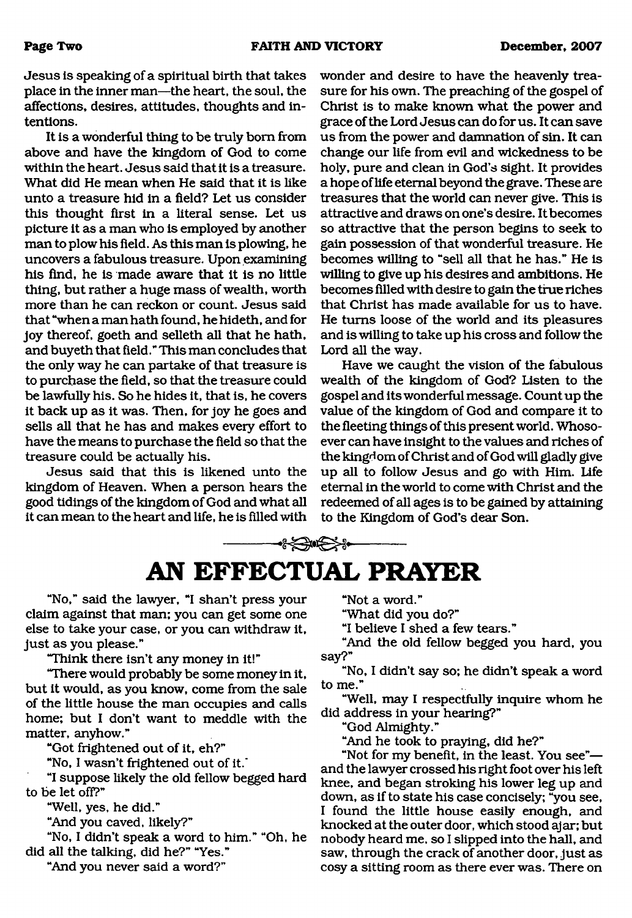Jesus is speaking of a spiritual birth that takes place in the inner man—the heart, the soul, the affections, desires, attitudes, thoughts and intentions.

It is a wonderful thing to be truly bom from above and have the kingdom of God to come within the heart. Jesus said that it is a treasure. What did He mean when He said that it is like unto a treasure hid in a field? Let us consider this thought first in a literal sense. Let us picture it as a man who is employed by another man to plow his field. As this man is plowing, he uncovers a fabulous treasure. Upon examining his find, he is made aware that it is no little thing, but rather a huge mass of wealth, worth more than he can reckon or count. Jesus said that "when a man hath found, he hideth, and for joy thereof, goeth and selleth all that he hath, and buyeth that field." This man concludes that the only way he can partake of that treasure is to purchase the field, so that the treasure could be lawfully his. So he hides it, that is, he covers it back up as it was. Then, for joy he goes and sells all that he has and makes every effort to have the means to purchase the field so that the treasure could be actually his.

Jesus said that this is likened unto the kingdom of Heaven. When a person hears the good tidings of the kingdom of God and what all it can mean to the heart and life, he is filled with wonder and desire to have the heavenly treasure for his own. The preaching of the gospel of Christ is to make known what the power and grace of the Lord Jesus can do for us. It can save us from the power and damnation of sin. It can change our life from evil and wickedness to be holy, pure and clean in God's sight. It provides a hope of life eternal beyond the grave. These are treasures that the world can never give. This is attractive and draws on one's desire. It becomes so attractive that the person begins to seek to gain possession of that wonderful treasure. He becomes willing to "sell all that he has." He is willing to give up his desires and ambitions. He becomes filled with desire to gain the true riches that Christ has made available for us to have. He turns loose of the world and its pleasures and is willing to take up his cross and follow the Lord all the way.

Have we caught the vision of the fabulous wealth of the kingdom of God? Listen to the gospel and its wonderful message. Count up the value of the kingdom of God and compare it to the fleeting things of this present world. Whosoever can have insight to the values and riches of the kingdom of Christ and of God will gladly give up all to follow Jesus and go with Him. Life eternal in the world to come with Christ and the redeemed of all ages is to be gained by attaining to the Kingdom of God's dear Son.

<span id="page-1-0"></span>

"No," said the lawyer, "I shan't press your claim against that man; you can get some one else to take your case, or you can withdraw it, just as you please."

"Think there isn't any money in it!"

"There would probably be some money in it, but it would, as you know, come from the sale of the little house the man occupies and calls home; but I don't want to meddle with the matter, anyhow."

"Got frightened out of it, eh?"

"No, I wasn't frightened out of it."

"I suppose likely the old fellow begged hard to be let off?"

"Well, yes, he did."

"And you caved, likely?"

"No, I didn't speak a word to him." "Oh, he did all the talking, did he?" "Yes."

"And you never said a word?"

"Not a word."

"What did you do?"

"I believe I shed a few tears."

"And the old fellow begged you hard, you say?"

"No, I didn't say so; he didn't speak a word to me."

"Well, may I respectfully inquire whom he did address in your hearing?"

"God Almighty."

"And he took to praying, did he?"

"Not for my benefit, in the least. You see" and the lawyer crossed his right foot over his left knee, and began stroking his lower leg up and down, as if to state his case concisely; "you see, I found the little house easily enough, and knocked at the outer door, which stood ajar; but nobody heard me, so I slipped into the hall, and saw, through the crack of another door, just as cosy a sitting room as there ever was. There on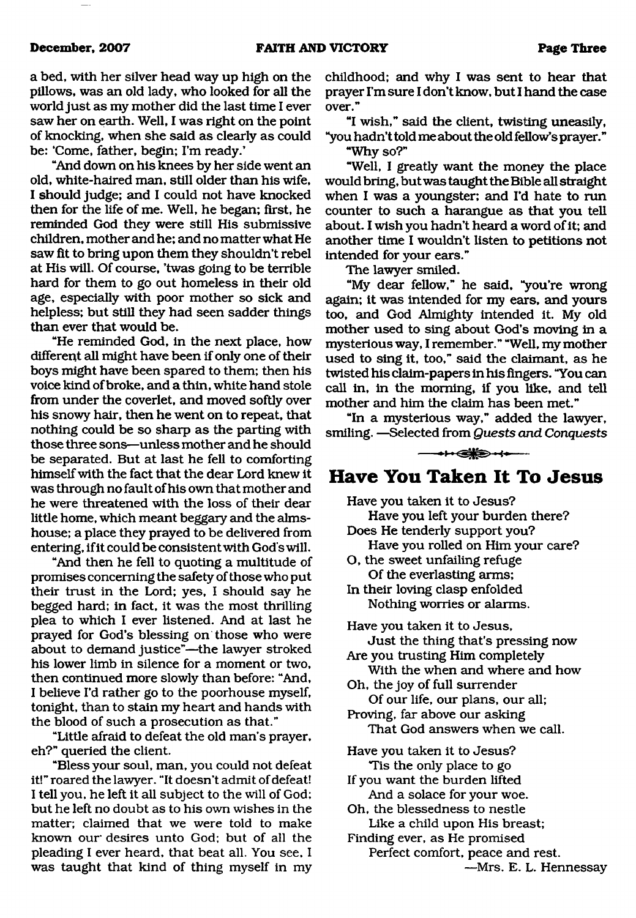a bed, with her silver head way up high on the pillows, was an old lady, who looked for all the world just as my mother did the last time I ever saw her on earth. Well, I was right on the point of knocking, when she said as clearly as could be: 'Come, father, begin; I'm ready.'

"And down on his knees by her side went an old, white-haired man, still older than his wife, I should judge; and I could not have knocked then for the life of me. Well, he began; first, he reminded God they were still His submissive children, mother and he; and no matter what He saw fit to bring upon them they shouldn't rebel at His will. Of course, 'twas going to be terrible hard for them to go out homeless in their old age, especially with poor mother so sick and helpless; but still they had seen sadder things than ever that would be.

"He reminded God, in the next place, how different all might have been if only one of their boys might have been spared to them; then his voice kind of broke, and a thin, white hand stole from under the coverlet, and moved softly over his snowy hair, then he went on to repeat, that nothing could be so sharp as the parting with those three sons—unless mother and he should be separated. But at last he fell to comforting himself with the fact that the dear Lord knew it was through no fault of his own that mother and he were threatened with the loss of their dear little home, which meant beggary and the almshouse; a place they prayed to be delivered from entering, if it could be consistent with God's will.

"And then he fell to quoting a multitude of promises concerning the safety of those who put their trust in the Lord; yes, I should say he begged hard; in fact, it was the most thrilling plea to which I ever listened. And at last he prayed for God's blessing on those who were about to demand justice"—the lawyer stroked his lower limb in silence for a moment or two, then continued more slowly than before: "And, I believe I'd rather go to the poorhouse myself, tonight, than to stain my heart and hands with the blood of such a prosecution as that."

"Little afraid to defeat the old man's prayer, eh?" queried the client.

"Bless your soul, man, you could not defeat it!" roared the lawyer. "It doesn't admit of defeat! I tell you, he left it all subject to the will of God; but he left no doubt as to his own wishes in the matter; claimed that we were told to make known our' desires unto God; but of all the pleading I ever heard, that beat all. You see, I was taught that kind of thing myself in my

childhood; and why I was sent to hear that prayer I'm sure I don't know, but I hand the case over."

"I wish," said the client, twisting uneasily, "you hadn't told me about the old fellow's prayer."

"Why so?"

"Well, I greatly want the money the place would bring, but was taught the Bible all straight when I was a youngster; and I'd hate to run counter to such a harangue as that you tell about. I wish you hadn't heard a word of it; and another time I wouldn't listen to petitions not intended for your ears."

The lawyer smiled.

"My dear fellow," he said, "you're wrong again; it was intended for my ears, and yours too, and God Almighty intended it. My old mother used to sing about God's moving in a mysterious way, I remember." "Well, my mother used to sing it, too," said the claimant, as he twisted his claim-papers in his fingers. "You can call in, in the morning, if you like, and tell mother and him the claim has been met."

"In a mysterious way," added the lawyer, smiling. —Selected from *Quests and Conquests*

 $\longrightarrow \leftrightarrow \bullet$ 

## **Have You Taken It To Jesus**

Have you taken it to Jesus? Have you left your burden there?

Does He tenderly support you? Have you rolled on Him your care?

- O, the sweet unfailing refuge Of the everlasting arms;
- In their loving clasp enfolded Nothing worries or alarms.

Have you taken it to Jesus, Just the thing that's pressing now

- Are you trusting Him completely With the when and where and how
- Oh, the joy of full surrender Of our life, our plans, our all;
- Proving, far above our asking That God answers when we call.

Have you taken it to Jesus? Tis the only place to go

If you want the burden lifted And a solace for your woe.

Oh, the blessedness to nestle Like a child upon His breast;

Finding ever, as He promised

Perfect comfort, peace and rest.

—Mrs. E. L. Hennessay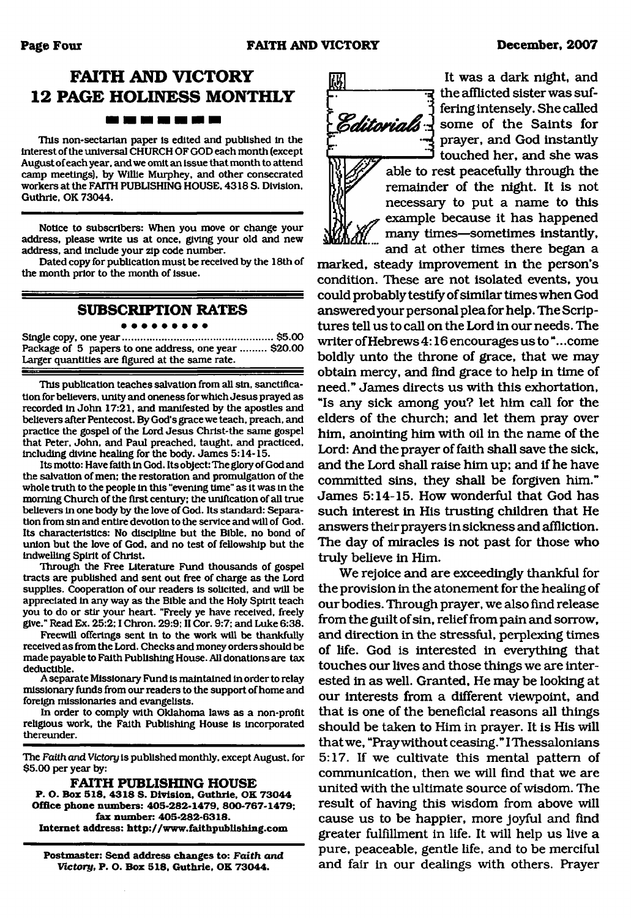## **FAITH AND VICTORY 12 PAGE HOLINESS MONTHLY** <u> 1981 - 1981 - 1982 - 1982 - 1982 - 1982 - 1982 - 1982 - 1982 - 1982 - 1982 - 1982 - 1982 - 1982 - 1982 - 1982 - 1982 - 1982 - 1982 - 1982 - 1982 - 1982 - 1982 - 1982 - 1982 - 1982 - 1982 - 1982 - 1982 - 1982 - 1982 - 198</u>

This non-sectarian paper Is edited and published in the interest of the universal CHURCH OF GOD each month (except August of each year, and we omit an issue that month to attend camp meetings), by Willie Murphey, and other consecrated workers at the FAITH PUBLISHING HOUSE. 4318 S. Division, Guthrie, OK 73044.

Notice to subscribers: When you move or change your address, please write us at once, giving your old and new address, and include your zip code number.

Dated copy for publication must be received by the 18th of the month prior to the month of issue.

### **SUBSCRIPTION RATES**

#### . . . . . . . . .

Single copy, one year......................................................\$5.00 Package of 5 papers to one address, one year ......... \$20.00 Larger quantities are figured at the same rate.

This publication teaches salvation from all sin, sanctification for believers, unity and oneness for which Jesus prayed as recorded in John 17:21, and manifested by the apostles and believers after Pentecost. By God's grace we teach, preach, and practice the gospel of the Lord Jesus Christ-the same gospel that Peter, John, and Paul preached, taught, and practiced, including divine healing for the body. James 5:14-15.

Its motto: Have faith in God. Its object: The glory of God and the salvation of men; the restoration and promulgation of the whole truth to the people in this "evening time" as it was in the morning Church of the first century: the unification of all true believers in one body by the love of God. Its standard: Separation from sin and entire devotion to the service and will of God. Its characteristics: No discipline but the Bible, no bond of union but the love of God, and no test of fellowship but the indwelling Spirit of Christ.

Through the Free Literature Fund thousands of gospel tracts are published and sent out free of charge as the Lord supplies. Cooperation of our readers is solicited, and will be appreciated in any way as the Bible and the Holy Spirit teach you to do or stir your heart. "Freely ye have received, freely give." Read Ex. 25:2; I Chron. 29:9; II Cor. 9:7; and Luke 6:38.

Freewill offerings sent in to the work will be thankfully received as from the Lord. Checks and money orders should be made payable to Faith Publishing House. All donations are tax deductible.

A separate Missionary Fund is maintained in order to relay missionary funds from our readers to the support of home and foreign missionaries and evangelists.

In order to comply with Oklahoma laws as a non-profit religious work, the Faith Publishing House is incorporated thereunder.

The *Faith and Victory* is published monthly, except August, for \$5.00 per year by:

**FAITH PUBLISHING HOUSE P. O. Box 518, 4318 S. Division. Guthrie, OK 73044 Office phone numbers: 405-282-1479, 800-767-1479; fax number: 405-282-6318. Internet address:<http://www.faithpublishing.com>**

**Postmaster: Send address changes to:** *Faith and Victory,* **P. O. Box 518, Guthrie, OK 73044.**



It was a dark night, and न्द the afflicted sister was suffering intensely. She called <u>d</u> some of the Saints for prayer, and God instantly touched her, and she was

able to rest peacefully through the remainder of the night. It is not necessary to put a name to this example because it has happened many times—sometimes instantly, and at other times there began a

marked, steady improvement in the person's condition. These are not isolated events, you could probably testify of similar times when God answered your personal plea for help. The Scriptures tell us to call on the Lord in our needs. The writer of Hebrews 4:16 encourages us to ".. .come boldly unto the throne of grace, that we may obtain mercy, and find grace to help in time of need." James directs us with this exhortation, "Is any sick among you? let him call for the elders of the church; and let them pray over him, anointing him with oil in the name of the Lord: And the prayer of faith shall save the sick, and the Lord shall raise him up; and if he have committed sins, they shall be forgiven him." James 5:14-15. How wonderful that God has such interest in His trusting children that He answers their prayers in sickness and affliction. The day of miracles is not past for those who truly believe in Him.

We rejoice and are exceedingly thankful for the provision in the atonement for the healing of our bodies. Through prayer, we also find release from the guilt of sin, relief from pain and sorrow, and direction in the stressful, perplexing times of life. God is interested in everything that touches our lives and those things we are interested in as well. Granted, He may be looking at our interests from a different viewpoint, and that is one of the beneficial reasons all things should be taken to Him in prayer. It is His will that we, "Pray without ceasing." I Thessalonians 5:17. If we cultivate this mental pattern of communication, then we will find that we are united with the ultimate source of wisdom. The result of having this wisdom from above will cause us to be happier, more joyful and find greater fulfillment in life. It will help us live a pure, peaceable, gentle life, and to be merciful and fair in our dealings with others. Prayer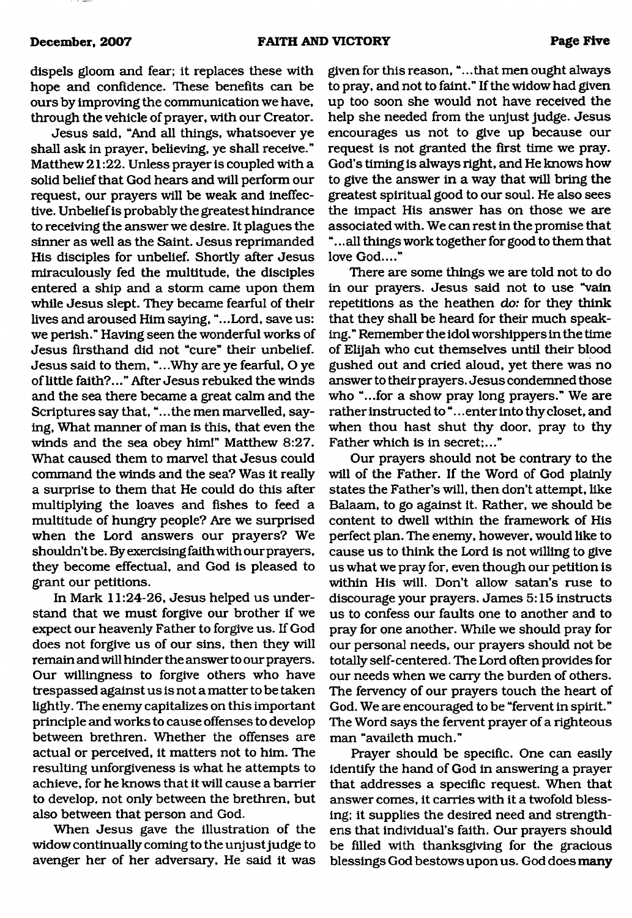dispels gloom and fear; it replaces these with hope and confidence. These benefits can be ours by improving the communication we have, through the vehicle of prayer, with our Creator.

Jesus said, "And all things, whatsoever ye shall ask in prayer, believing, ye shall receive." Matthew 21:22. Unless prayer is coupled with a solid belief that God hears and will perform our request, our prayers will be weak and ineffective. Unbelief is probably the greatest hindrance to receiving the answer we desire. It plagues the sinner as well as the Saint. Jesus reprimanded His disciples for unbelief. Shortly after Jesus miraculously fed the multitude, the disciples entered a ship and a storm came upon them while Jesus slept. They became fearful of their lives and aroused Him saying, "...Lord, save us: we perish." Having seen the wonderful works of Jesus firsthand did not "cure" their unbelief. Jesus said to them, "...Why are ye fearful, O ye of little faith?..." After Jesus rebuked the winds and the sea there became a great calm and the Scriptures say that, ".. .the men marvelled, saying, What manner of man is this, that even the winds and the sea obey him!" Matthew 8:27. What caused them to marvel that Jesus could command the winds and the sea? Was it really a surprise to them that He could do this after multiplying the loaves and fishes to feed a multitude of hungry people? Are we surprised when the Lord answers our prayers? We shouldn't be. By exercising faith with our prayers, they become effectual, and God is pleased to grant our petitions.

In Mark 11:24-26, Jesus helped us understand that we must forgive our brother if we expect our heavenly Father to forgive us. If God does not forgive us of our sins, then they will remain and will hinder the answer to our prayers. Our willingness to forgive others who have trespassed against us is not a matter to be taken lightly. The enemy capitalizes on this important principle and works to cause offenses to develop between brethren. Whether the offenses are actual or perceived, it matters not to him. The resulting unforgiveness is what he attempts to achieve, for he knows that it will cause a barrier to develop, not only between the brethren, but also between that person and God.

When Jesus gave the illustration of the widow continually coming to the unjust judge to avenger her of her adversary. He said it was given for this reason, "...that men ought always to pray, and not to faint." If the widow had given up too soon she would not have received the help she needed from the unjust judge. Jesus encourages us not to give up because our request is not granted the first time we pray. God's timing is always right, and He knows how to give the answer in a way that will bring the greatest spiritual good to our soul. He also sees the impact His answer has on those we are associated with. We can rest in the promise that "... all things work together for good to them that love God...."

There are some things we are told not to do in our prayers. Jesus said not to use "vain repetitions as the heathen do: for they think that they shall be heard for their much speaking." Remember the idol worshippers in the time of Elijah who cut themselves until their blood gushed out and cried aloud, yet there was no answer to their prayers. Jesus condemned those who "...for a show pray long prayers." We are rather instructed to "... enter into thy closet, and when thou hast shut thy door, pray to thy Father which is in secret;..."

Our prayers should not be contrary to the will of the Father. If the Word of God plainly states the Father's will, then don't attempt, like Balaam, to go against it. Rather, we should be content to dwell within the framework of His perfect plan. The enemy, however, would like to cause us to think the Lord is not willing to give us what we pray for, even though our petition is within His will. Don't allow satan's ruse to discourage your prayers. James 5:15 instructs us to confess our faults one to another and to pray for one another. While we should pray for our personal needs, our prayers should not be totally self-centered. The Lord often provides for our needs when we carry the burden of others. The fervency of our prayers touch the heart of God. We are encouraged to be "fervent in spirit." The Word says the fervent prayer of a righteous man "availeth much."

Prayer should be specific. One can easily identify the hand of God in answering a prayer that addresses a specific request. When that answer comes, it carries with it a twofold blessing; it supplies the desired need and strengthens that individual's faith. Our prayers should be filled with thanksgiving for the gracious blessings God bestows upon us. God does many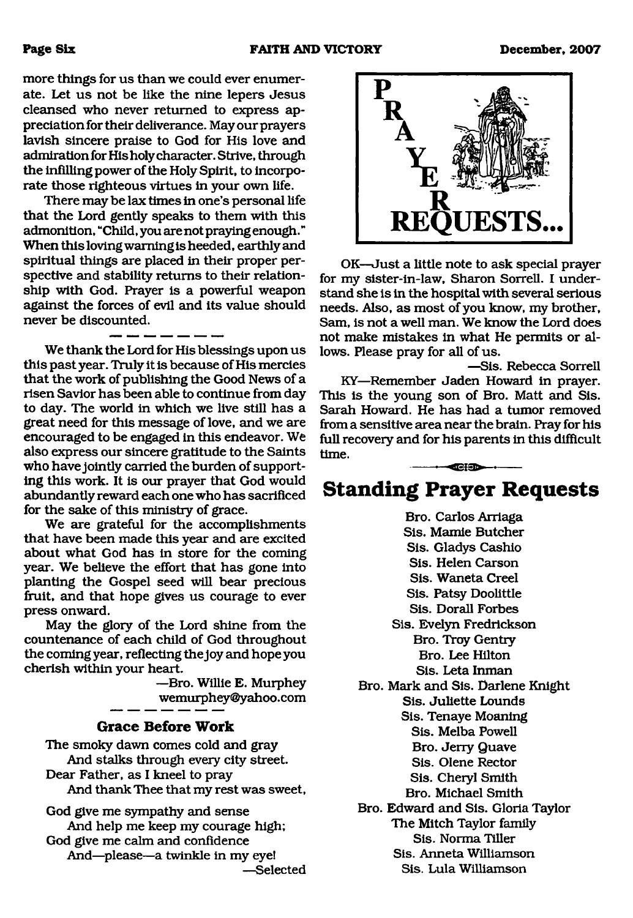more things for us than we could ever enumerate. Let us not be like the nine lepers Jesus cleansed who never returned to express appreciation for their deliverance. May our prayers lavish sincere praise to God for His love and admiration for His holy character. Strive, through the infilling power of the Holy Spirit, to incorporate those righteous virtues in your own life.

There may be lax times in one's personal life that the Lord gently speaks to them with this admonition, "Child, you are not praying enough. " When this loving warning is heeded, earthly and spiritual things are placed in their proper perspective and stability returns to their relationship with God. Prayer is a powerful weapon against the forces of evil and its value should never be discounted.

We thank the Lord for His blessings upon us this past year. Truly it is because of His mercies that the work of publishing the Good News of a risen Savior has been able to continue from day to day. The world in which we live still has a great need for this message of love, and we are encouraged to be engaged in this endeavor. We also express our sincere gratitude to the Saints who have jointly carried the burden of supporting this work. It is our prayer that God would abundantly reward each one who has sacrificed for the sake of this ministry of grace.

We are grateful for the accomplishments that have been made this year and are excited about what God has in store for the coming year. We believe the effort that has gone into planting the Gospel seed will bear precious fruit, and that hope gives us courage to ever press onward.

May the glory of the Lord shine from the countenance of each child of God throughout the coming year, reflecting the joy and hope you cherish within your heart.

> —Bro. Willie E. Murphey [wemurphey@yahoo.com](mailto:wemurphey@yahoo.com)

### **Grace Before Work**

The smoky dawn comes cold and gray And stalks through every city street. Dear Father, as I kneel to pray And thank Thee that my rest was sweet,

God give me sympathy and sense And help me keep my courage high; God give me calm and confidence And—please—a twinkle in my eye! —Selected



OK—Just a little note to ask special prayer for my sister-in-law, Sharon Sorrell. I understand she is in the hospital with several serious needs. Also, as most of you know, my brother, Sam, is not a well man. We know the Lord does not make mistakes in what He permits or allows. Please pray for all of us.

—Sis. Rebecca Sorrell KY—Remember Jaden Howard in prayer. This is the young son of Bro. Matt and Sis. Sarah Howard. He has had a tumor removed from a sensitive area near the brain. Pray for his full recovery and for his parents in this difficult time. **IT TO BE A** 

# **Standing Prayer Requests**

Bro. Carlos Arriaga Sis. Mamie Butcher Sis. Gladys Cashio Sis. Helen Carson Sis. Waneta Creel Sis. Patsy Doolittle Sis. Dorall Forbes Sis. Evelyn Fredrickson Bro. Troy Gentry Bro. Lee Hilton Sis. Leta Inman Bro. Mark and Sis. Darlene Knight Sis. Juliette Lounds Sis. Tenaye Moaning Sis. Melba Powell Bro. Jeny Quave Sis. Olene Rector Sis. Cheryl Smith Bro. Michael Smith Bro. Edward and Sis. Gloria Taylor The Mitch Taylor family Sis. Norma Tiller Sis. Anneta Williamson Sis. Lula Williamson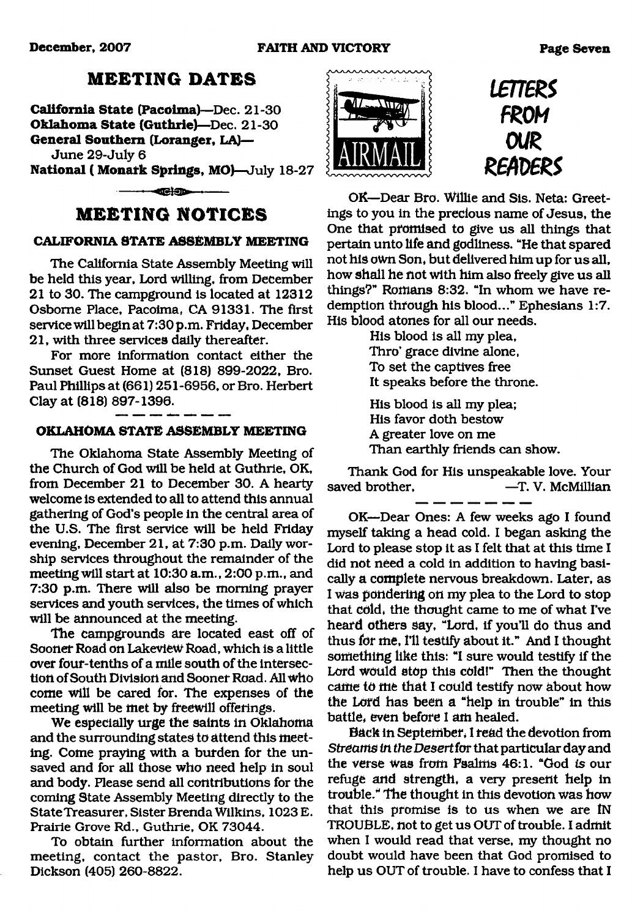#### **December, 2007 FAITH AND VICTORY Page Seven**

## **M EETING DATES**

**California State (Pacoima)**—Dec. **21-30 Oklahoma State (Guthrie)**—Dec. **21-30 General Southern (Loranger, LA)—**

June 29-July 6

**National ( Monafk Springs, MO)**—July 18-27

 $-$ 

## **M EETING NOTICES**

### **CALIFORNIA STATE ASSEMBLY MEETING**

The California State Assembly Meeting will be held this year, Lord willing, from December 21 to 30. The campground is located at 12312 Osborne Place, Pacoima, CA 91331. The first service will begin at 7:30 p.m. Friday, December 21, with three services daily thereafter.

For more information contact either the Sunset Guest Home at (818) 899-2022, Bro. Paul Phillips at (661) 251-6956, or Bro. Herbert Clay at (818) 897-1396.

## **OKLAHOMA STATE ASSEMBLY MEETING**

The Oklahoma State Assembly Meeting of the Church of God will be held at Guthrie, OK, from December 21 to December 30. A hearty welcome is extended to all to attend this annual gathering of God's people in the central area of the U.S. The first service will be held Friday evening, December 21, at 7:30 p.m. Daily worship services throughout the remainder of the meeting will start at 10:30 a.m., 2:00 p.m., and 7:30 p.m. There will also be morning prayer services and youth services, the times of which will be announced at the meeting.

The campgrounds are located east off of Sooner Road on Lakeview Road, which is a little over four-tenths of a mile south of the intersection of South Division and Sooner Road. All who come will be cared for. The expenses of the meeting will be met by freewill offerings.

We especially urge the saints in Oklahoma and the surrounding states to attend this meeting. Come praying with a burden for the unsaved and for all those who need help in soul and body. Please send all contributions for the coming State Assembly Meeting directly to the State Treasurer, Sister Brenda Wilkins, 1023 E. Prairie Grove Rd., Guthrie, OK 73044.

To obtain further information about the meeting, contact the pastor, Bro. Stanley Dickson (405) 260-8822.



*imeRS FROM OUR R ern R S*

OK—Dear Bro. Willie and Sis. Neta: Greetings to you in the precious name of Jesus, the One that promised to give us all things that pertain unto life and godliness. "He that spared not his own Son, but delivered him up for us all, how shall he not with him also freely give us all things?" Romans 8:32. "In whom we have redemption through his blood..." Ephesians 1:7. His blood atones for all our needs.

> His blood is all my plea, Thro' grace divine alone, To set the captives free It speaks before the throne.

His blood is all my plea; His favor doth bestow A greater love on me Than earthly friends can show.

Thank God for His unspeakable love. Your saved brother,  $-$ T. V. McMillian

OK—Dear Ones: A few weeks ago I found myself taking a head cold. I began asking the Lord to please stop it as I felt that at this time I did not need a cold in addition to having basically a complete nervous breakdown. Later, as I was pondering on my plea to the Lord to stop that cold, the thought came to me of what I've heard others say, "Lord, if you'll do thus and thus for me, I'll testify about it." And I thought something like this: "I sure would testify if the Lord would stop this cold!" Then the thought came to me that I could testify now about how the Lord has been a "help in trouble" in this battle, even before 1 am healed.

Back in September, 1 read the devotion from Streams *in the Desert for* that particular day and the verse was from Psalms 46:1. "God *is* our refuge and strength, a very present help in trouble.\* The thought in this devotion was how that this promise is to us when we are IN TROUBLE, not to get us OUT of trouble. I admit when I would read that verse, my thought no doubt would have been that God promised to help us OUT of trouble. I have to confess that I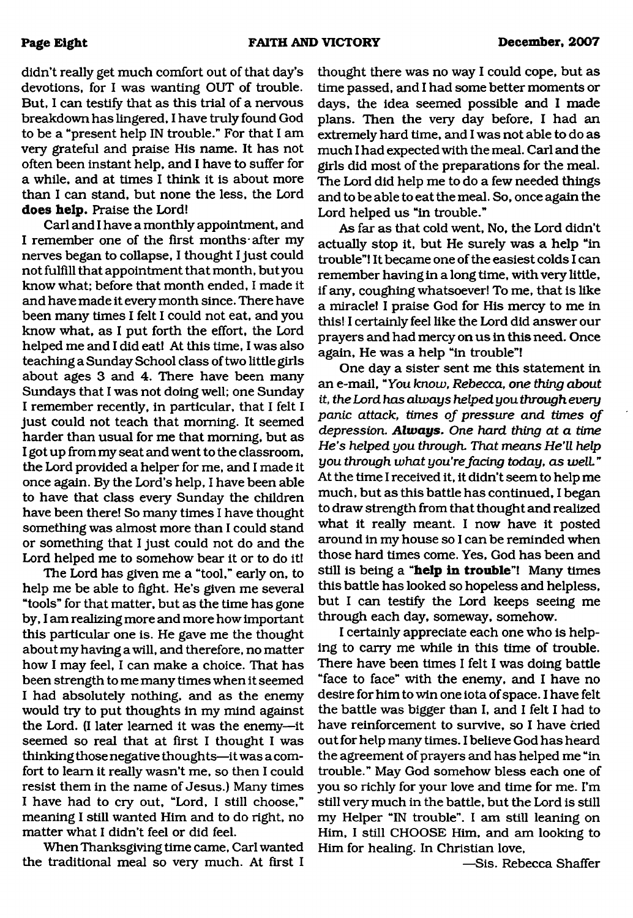didn't really get much comfort out of that day's devotions, for I was wanting OUT of trouble. But, I can testify that as this trial of a nervous breakdown has lingered, I have truly found God to be a "present help IN trouble." For that I am very grateful and praise His name. It has not often been instant help, and I have to suffer for a while, and at times I think it is about more than I can stand, but none the less, the Lord **does help.** Praise the Lord!

Carl and I have a monthly appointment, and I remember one of the first months after my nerves began to collapse, I thought I just could not fulfill that appointment that month, but you know what; before that month ended, I made it and have made it every month since. There have been many times I felt I could not eat, and you know what, as I put forth the effort, the Lord helped me and I did eat! At this time, I was also teaching a Sunday School class of two little girls about ages 3 and 4. There have been many Sundays that I was not doing well; one Sunday I remember recently, in particular, that I felt I just could not teach that morning. It seemed harder than usual for me that morning, but as I got up from my seat and went to the classroom, the Lord provided a helper for me, and I made it once again. By the Lord's help, I have been able to have that class every Sunday the children have been there! So many times I have thought something was almost more than I could stand or something that I just could not do and the Lord helped me to somehow bear it or to do it!

The Lord has given me a "tool," early on, to help me be able to fight. He's given me several "tools" for that matter, but as the time has gone by, I am realizing more and more how important this particular one is. He gave me the thought about my having a will, and therefore, no matter how I may feel, I can make a choice. That has been strength to me many times when it seemed I had absolutely nothing, and as the enemy would try to put thoughts in my mind against the Lord. (I later learned it was the enemy—it seemed so real that at first I thought I was thinking those negative thoughts—it was a comfort to learn it really wasn't me, so then I could resist them in the name of Jesus.) Many times I have had to cry out, "Lord, I still choose," meaning I still wanted Him and to do right, no matter what I didn't feel or did feel.

When Thanksgiving time came, Carl wanted the traditional meal so very much. At first I thought there was no way I could cope, but as time passed, and I had some better moments or days, the idea seemed possible and I made plans. Then the very day before, I had an extremely hard time, and I was not able to do as much I had expected with the meal. Carl and the girls did most of the preparations for the meal. The Lord did help me to do a few needed things and to be able to eat the meal. So, once again the Lord helped us "in trouble."

As far as that cold went, No, the Lord didn't actually stop it, but He surely was a help "in trouble"! It became one of the easiest colds I can remember having in a long time, with very little, if any, coughing whatsoever! To me, that is like a miracle! I praise God for His mercy to me in this! I certainly feel like the Lord did answer our prayers and had mercy on us in this need. Once again, He was a help "in trouble"!

One day a sister sent me this statement in an e-mail, " You *know, Rebecca, one thing about it, the Lord has always helped you through every panic attack, times of pressure and times of depression. Always*. *One hard thing at a time* He's helped you through. That means He'll help *you through what you're facing today, as well.*" At the time I received it, it didn't seem to help me much, but as this battle has continued, I began to draw strength from that thought and realized what it really meant. I now have it posted around in my house so I can be reminded when those hard times come. Yes, God has been and still is being a **"help in trouble"!** Many times this battle has looked so hopeless and helpless, but I can testify the Lord keeps seeing me through each day, someway, somehow.

I certainly appreciate each one who is helping to cany me while in this time of trouble. There have been times I felt I was doing battle "face to face" with the enemy, and I have no desire for him to win one iota of space. I have felt the battle was bigger than I, and I felt I had to have reinforcement to survive, so I have cried out for help many times. I believe God has heard the agreement of prayers and has helped me "in trouble." May God somehow bless each one of you so richly for your love and time for me. I'm still very much in the battle, but the Lord is still my Helper "IN trouble". I am still leaning on Him, I still CHOOSE Him, and am looking to Him for healing. In Christian love,

—Sis. Rebecca Shaffer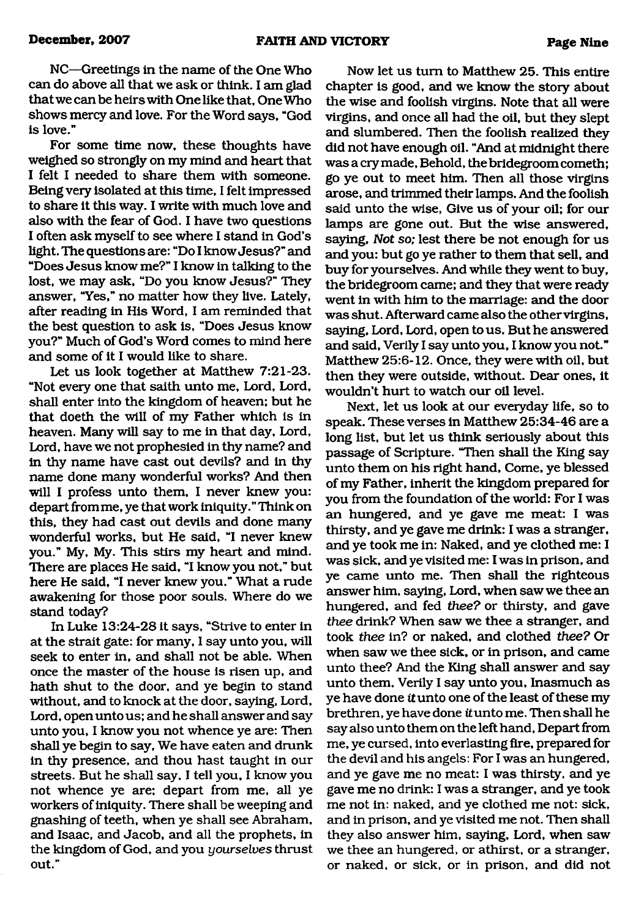NC—Greetings in the name of the One Who can do above all that we ask or think. I am glad that we can be heirs with One like that, One Who shows mercy and love. For the Word says, "God is love."

For some time now, these thoughts have weighed so strongly on my mind and heart that I felt I needed to share them with someone. Being very isolated at this time, I felt impressed to share it this way. I write with much love and also with the fear of God. I have two questions I often ask myself to see where I stand in God's light. The questions are: "Do I know Jesus?" and "Does Jesus know me?" I know in talking to the lost, we may ask, "Do you know Jesus?" They answer, "Yes," no matter how they live. Lately, after reading in His Word, I am reminded that the best question to ask is, "Does Jesus know you?" Much of God's Word comes to mind here and some of it I would like to share.

Let us look together at Matthew 7:21-23. "Not every one that saith unto me, Lord, Lord, shall enter into the kingdom of heaven; but he that doeth the will of my Father which is in heaven. Many will say to me in that day, Lord, Lord, have we not prophesied in thy name? and in thy name have cast out devils? and in thy name done many wonderful works? And then will I profess unto them, I never knew you: depart from me, ye that work iniquity. " Think on this, they had cast out devils and done many wonderful works, but He said, "I never knew you." My, My. This stirs my heart and mind. There are places He said, "I know you not," but here He said, "I never knew you." What a rude awakening for those poor souls. Where do we stand today?

In Luke 13:24-28 it says, "Strive to enter in at the strait gate: for many, I say unto you, will seek to enter in, and shall not be able. When once the master of the house is risen up, and hath shut to the door, and ye begin to stand without, and to knock at the door, saying. Lord, Lord, open unto us; and he shall answer and say unto you, I know you not whence ye are: Then shall ye begin to say, We have eaten and drunk in thy presence, and thou hast taught in our streets. But he shall say, I tell you, I know you not whence ye are; depart from me, all ye workers of iniquity. There shall be weeping and gnashing of teeth, when ye shall see Abraham, and Isaac, and Jacob, and all the prophets, in the kingdom of God, and you *yourselves* thrust out."

Now let us turn to Matthew 25. This entire chapter is good, and we know the story about the wise and foolish virgins. Note that all were virgins, and once all had the oil, but they slept and slumbered. Then the foolish realized they did not have enough oil. "And at midnight there was a cry made, Behold, the bridegroom cometh; go ye out to meet him. Then all those virgins arose, and trimmed their lamps. And the foolish said unto the wise, Give us of your oil; for our lamps are gone out. But the wise answered, saying, *Not so;* lest there be not enough for us and you: but go ye rather to them that sell, and buy for yourselves. And while they went to buy, the bridegroom came; and they that were ready went in with him to the marriage: and the door was shut. Afterward came also the other virgins, saying, Lord, Lord, open to us. But he answered and said, Verily I say unto you, I knowyou not." Matthew 25:6-12. Once, they were with oil, but then they were outside, without. Dear ones, it wouldn't hurt to watch our oil level.

Next, let us look at our everyday life, so to speak. These verses in Matthew 25:34-46 are a long list, but let us think seriously about this passage of Scripture. "Then shall the King say unto them on his right hand, Come, ye blessed of my Father, inherit the kingdom prepared for you from the foundation of the world: For I was an hungered, and ye gave me meat: I was thirsty, and ye gave me drink: I was a stranger, and ye took me in: Naked, and ye clothed me: I was sick, and ye visited me: I was in prison, and ye came unto me. Then shall the righteous answer him, saying, Lord, when saw we thee an hungered, and fed *thee?* or thirsty, and gave *thee* drink? When saw we thee a stranger, and took *thee* in? or naked, and clothed *thee?* Or when saw we thee sick, or in prison, and came unto thee? And the King shall answer and say unto them. Verily I say unto you, Inasmuch as ye have done *it* unto one of the least of these my brethren, ye have done *it* unto me. Then shall he say also unto them on the left hand. Depart from me, ye cursed, into everlasting fire, prepared for the devil and his angels: For I was an hungered, and ye gave me no meat: I was thirsty, and ye gave me no drink: I was a stranger, and ye took me not in: naked, and ye clothed me not: sick, and in prison, and ye visited me not. Then shall they also answer him, saying, Lord, when saw we thee an hungered, or athirst, or a stranger, or naked, or sick, or in prison, and did not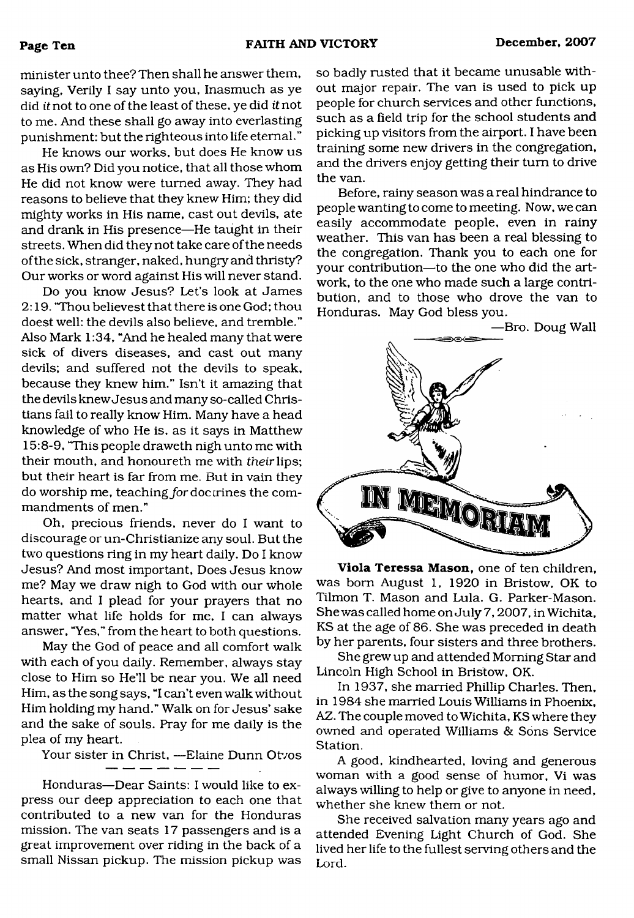minister unto thee? Then shall he answer them, saying. Verily I say unto you, Inasmuch as ye did *it* not to one of the least of these, ye did *it* not to me. And these shall go away into everlasting punishment: but the righteous into life eternal."

He knows our works, but does He know us as His own? Did you notice, that all those whom He did not know were turned away. They had reasons to believe that they knew Him; they did mighty works in His name, cast out devils, ate and drank in His presence—He taught in their streets. When did they not take care of the needs of the sick, stranger, naked, hungry and thristy? Our works or word against His will never stand.

Do you know Jesus? Let's look at James 2:19. 'Thou believest that there is one God; thou doest well: the devils also believe, and tremble." Also Mark 1:34, "And he healed many that were sick of divers diseases, and cast out many devils; and suffered not the devils to speak, because they knew him." Isn't it amazing that the devils knew Jesus and many so-called Christians fail to really know Him. Many have a head knowledge of who He is, as it says in Matthew 15:8-9, "This people draweth nigh unto me with their mouth, and honoureth me with *their* lips; but their heart is far from me. But in vain they do worship me, teaching for doc trines the commandments of men."

Oh, precious friends, never do I want to discourage or un-Christianize any soul. But the two questions ring in my heart daily. Do I know Jesus? And most important, Does Jesus know me? May we draw nigh to God with our whole hearts, and I plead for your prayers that no matter what life holds for me, I can always answer, "Yes," from the heart to both questions.

May the God of peace and all comfort walk with each of you daily. Remember, always stay close to Him so He'll be near you. We all need Him, as the song says, "I can't even walk without Him holding my hand." Walk on for Jesus' sake and the sake of souls. Pray for me daily is the plea of my heart.

Your sister in Christ, —Elaine Dunn Otvos

Honduras—Dear Saints: I would like to express our deep appreciation to each one that contributed to a new van for the Honduras mission. The van seats 17 passengers and is a great improvement over riding in the back of a small Nissan pickup. The mission pickup was so badly rusted that it became unusable without major repair. The van is used to pick up people for church services and other functions, such as a field trip for the school students and picking up visitors from the airport. I have been training some new drivers in the congregation, and the drivers enjoy getting their turn to drive the van.

Before, rainy season was a real hindrance to people wanting to come to meeting. Now, we can easily accommodate people, even in rainy weather. This van has been a real blessing to the congregation. Thank you to each one for your contribution—to the one who did the artwork, to the one who made such a large contribution, and to those who drove the van to Honduras. May God bless you.



**Viola Teressa Mason,** one of ten children, was bom August 1, 1920 in Bristow, OK to Tilmon T. Mason and Lula. G. Parker-Mason. She was called home on July 7,2007, in Wichita, KS at the age of 86. She was preceded in death by her parents, four sisters and three brothers.

She grew up and attended Morning Star and Lincoln High School in Bristow, OK.

In 1937, she married Phillip Charles. Then, in 1984 she married Louis Williams in Phoenix, AZ. The couple moved to Wichita, KS where they owned and operated Williams & Sons Service Station.

A good, kindhearted, loving and generous woman with a good sense of humor, Vi was always willing to help or give to anyone in need, whether she knew them or not.

She received salvation many years ago and attended Evening Light Church of God. She lived her life to the fullest serving others and the Lord.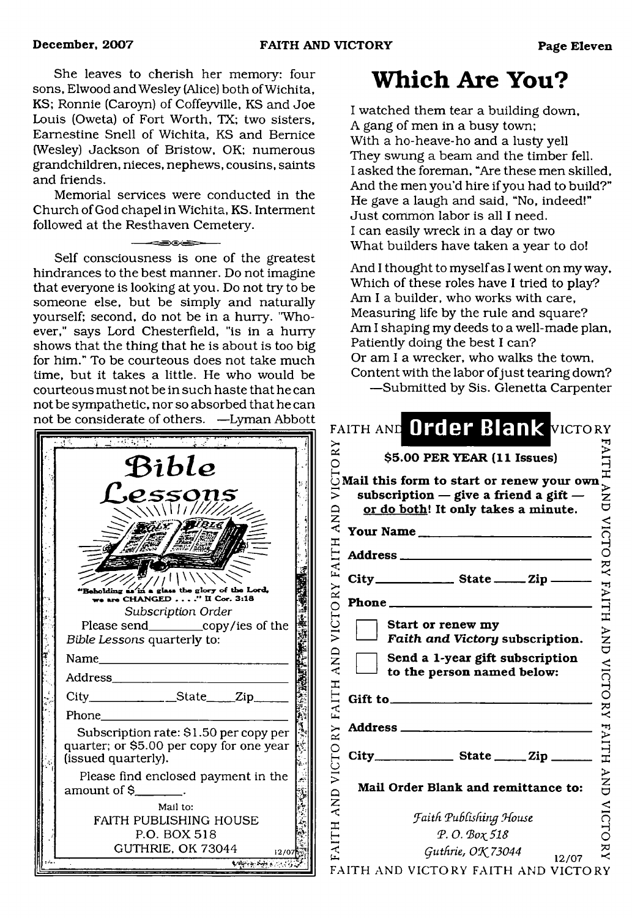She leaves to cherish her memory: four sons, Elwood and Wesley (Alice) both of Wichita, KS; Ronnie (Caroyn) of Coffeyville, KS and Joe Louis (Oweta) of Fort Worth, TX; two sisters, Eamestine Snell of Wichita, KS and Bernice (Wesley) Jackson of Bristow, OK; numerous grandchildren, nieces, nephews, cousins, saints and friends.

Memorial services were conducted in the Church of God chapel in Wichita, KS. Interment followed at the Resthaven Cemetery.

Self consciousness is one of the greatest hindrances to the best manner. Do not imagine that everyone is looking at you. Do not try to be someone else, but be simply and naturally yourself; second, do not be in a hurry. "Whoever," says Lord Chesterfield, "is in a hurry shows that the thing that he is about is too big for him." To be courteous does not take much time, but it takes a little. He who would be courteous must not be in such haste that he can not be sympathetic, nor so absorbed that he can not be considerate of others. —Lyman Abbott

| Bible                                                                                                      |  |
|------------------------------------------------------------------------------------------------------------|--|
| .e.ssons<br>$\sqrt{\sqrt{117}}$                                                                            |  |
|                                                                                                            |  |
|                                                                                                            |  |
| glass the glory of the Lord,<br>"Bebolding é<br>are CHANGED $\ldots$ ." II Cor. 3:18<br>Subscription Order |  |
| Please send_____________copy/ies of the<br>Bible Lessons quarterly to:                                     |  |
| Name                                                                                                       |  |
| Address_<br><u>and the state of the state</u>                                                              |  |
| _________________State______Zip_____<br>$City$ <sub>—</sub>                                                |  |
| Phone                                                                                                      |  |
| Subscription rate: \$1.50 per copy per<br>quarter; or \$5.00 per copy for one year<br>(issued quarterly).  |  |
| Please find enclosed payment in the<br>amount of \$__                                                      |  |
| Mail to:                                                                                                   |  |
| <b>FAITH PUBLISHING HOUSE</b><br>P.O. BOX 518                                                              |  |
| GUTHRIE, OK 73044<br>12/0                                                                                  |  |
| والراو بليك بوء تهاديه                                                                                     |  |

# <span id="page-10-0"></span>**Which Are You?**

I watched them tear a building down, A gang of men in a busy town; With a ho-heave-ho and a lusty yell They swung a beam and the timber fell. I asked the foreman, "Are these men skilled, And the men you'd hire if you had to build?" He gave a laugh and said, "No, indeed!" Just common labor is all I need. I can easily wreck in a day or two What builders have taken a year to do!

And I thought to myself as I went on my way. Which of these roles have I tried to play? Am I a builder, who works with care, Measuring life by the rule and square? Am I shaping my deeds to a well-made plan, Patiently doing the best I can? Or am I a wrecker, who walks the town, Content with the labor of just tearing down? —Submitted by Sis. Glenetta Carpenter

|                | \$5.00 PER YEAR (11 Issues)                                                                                                   |  |
|----------------|-------------------------------------------------------------------------------------------------------------------------------|--|
|                |                                                                                                                               |  |
|                | Mail this form to start or renew your own<br>subscription $-$ give a friend a gift $-$<br>or do both! It only takes a minute. |  |
|                | Your Name                                                                                                                     |  |
|                |                                                                                                                               |  |
|                | City_________________________ State __________ Zip _                                                                          |  |
| Phone __       |                                                                                                                               |  |
|                | Start or renew my<br>Faith and Victory subscription.                                                                          |  |
|                | Send a 1-year gift subscription<br>to the person named below:                                                                 |  |
| Gift to $\_\_$ |                                                                                                                               |  |
| Address ____   |                                                                                                                               |  |
|                |                                                                                                                               |  |
|                | Mail Order Blank and remittance to:                                                                                           |  |
|                | <b>Faith Publishing House</b>                                                                                                 |  |
|                | P.O. Βοχ 518                                                                                                                  |  |
|                | Guthrie, OK 73044                                                                                                             |  |